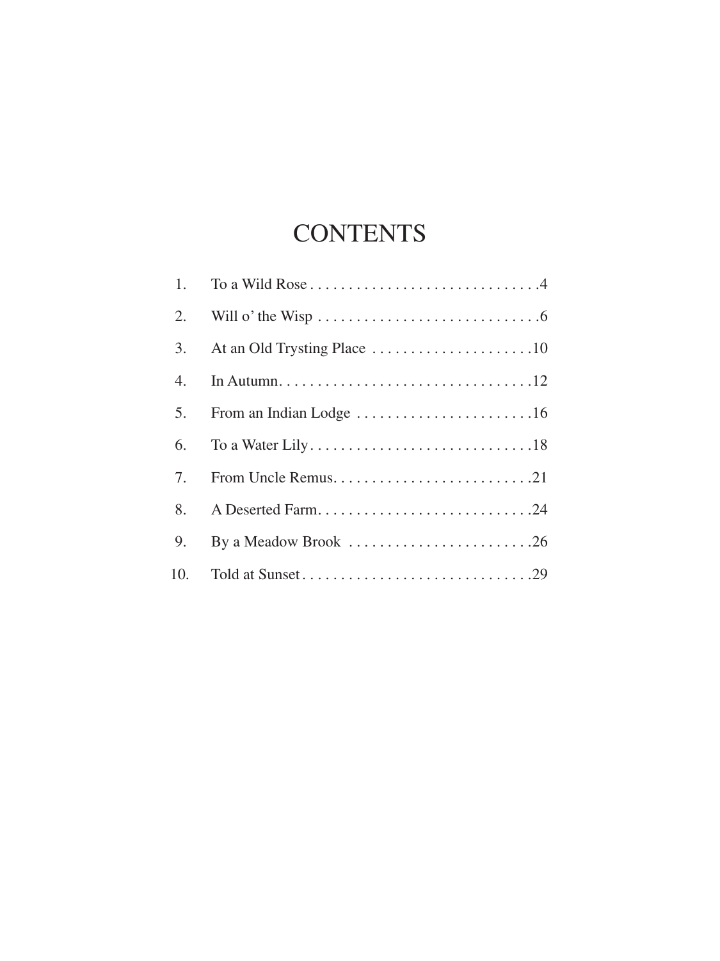## **CONTENTS**

| 2. |                      |
|----|----------------------|
| 3. |                      |
| 4. |                      |
| 5. |                      |
| 6. |                      |
| 7. | From Uncle Remus21   |
| 8. |                      |
| 9. | By a Meadow Brook 26 |
|    |                      |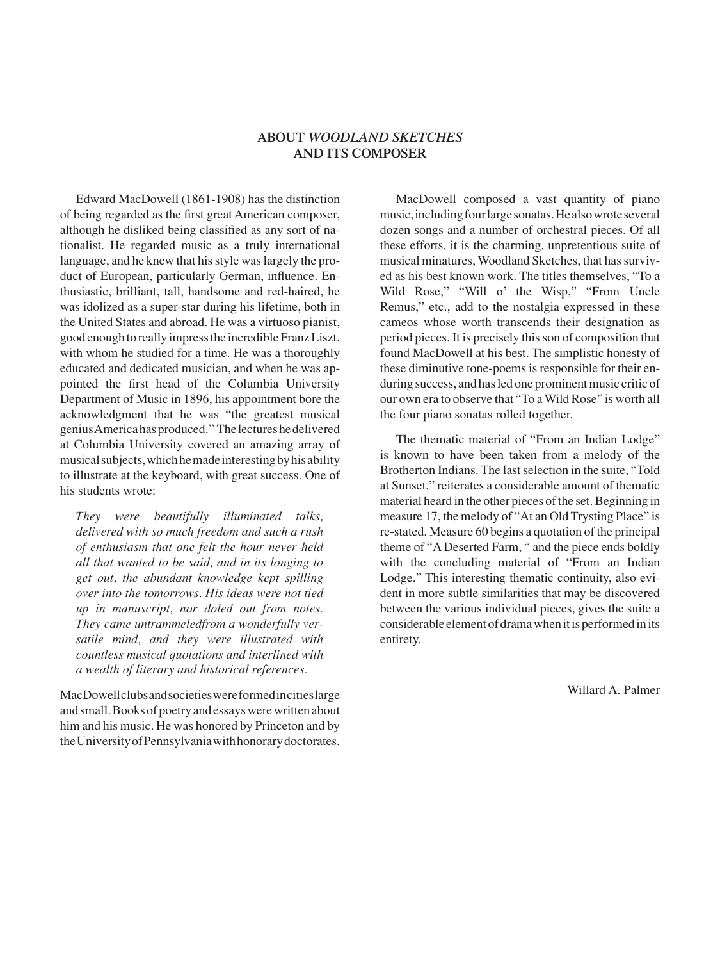## **ABOUT** *WOODLAND SKETCHES* **AND ITS COMPOSER**

Edward MacDowell (1861-1908) has the distinction of being regarded as the first great American composer, although he disliked being classified as any sort of nationalist. He regarded music as a truly international language, and he knew that his style was largely the product of European, particularly German, influence. Enthusiastic, brilliant, tall, handsome and red-haired, he was idolized as a super-star during his lifetime, both in the United States and abroad. He was a virtuoso pianist, good enough to really impress the incredible Franz Liszt, with whom he studied for a time. He was a thoroughly educated and dedicated musician, and when he was appointed the first head of the Columbia University Department of Music in 1896, his appointment bore the acknowledgment that he was "the greatest musical genius America has produced." The lectures he delivered at Columbia University covered an amazing array of musical subjects, which he made interesting by his ability to illustrate at the keyboard, with great success. One of his students wrote:

*They were beautifully illuminated talks, delivered with so much freedom and such a rush of enthusiasm that one felt the hour never held all that wanted to be said, and in its longing to get out, the abundant knowledge kept spilling over into the tomorrows. His ideas were not tied up in manuscript, nor doled out from notes. They came untrammeledfrom a wonderfully versatile mind, and they were illustrated with countless musical quotations and interlined with a wealth of literary and historical references.*

MacDowell clubs and societies were formed in cities large and small. Books of poetry and essays were written about him and his music. He was honored by Princeton and by the University of Pennsylvania with honorary doctorates.

MacDowell composed a vast quantity of piano music, including four large sonatas. He also wrote several dozen songs and a number of orchestral pieces. Of all these efforts, it is the charming, unpretentious suite of musical minatures, Woodland Sketches, that has survived as his best known work. The titles themselves, "To a Wild Rose," "Will o' the Wisp," "From Uncle Remus," etc., add to the nostalgia expressed in these cameos whose worth transcends their designation as period pieces. It is precisely this son of composition that found MacDowell at his best. The simplistic honesty of these diminutive tone-poems is responsible for their enduring success, and has led one prominent music critic of our own era to observe that "To a Wild Rose" is worth all the four piano sonatas rolled together.

The thematic material of "From an Indian Lodge" is known to have been taken from a melody of the Brotherton Indians. The last selection in the suite, "Told at Sunset," reiterates a considerable amount of thematic material heard in the other pieces of the set. Beginning in measure 17, the melody of "At an Old Trysting Place" is re-stated. Measure 60 begins a quotation of the principal theme of "A Deserted Farm, " and the piece ends boldly with the concluding material of "From an Indian Lodge." This interesting thematic continuity, also evident in more subtle similarities that may be discovered between the various individual pieces, gives the suite a considerable element of drama when it is performed in its entirety.

Willard A. Palmer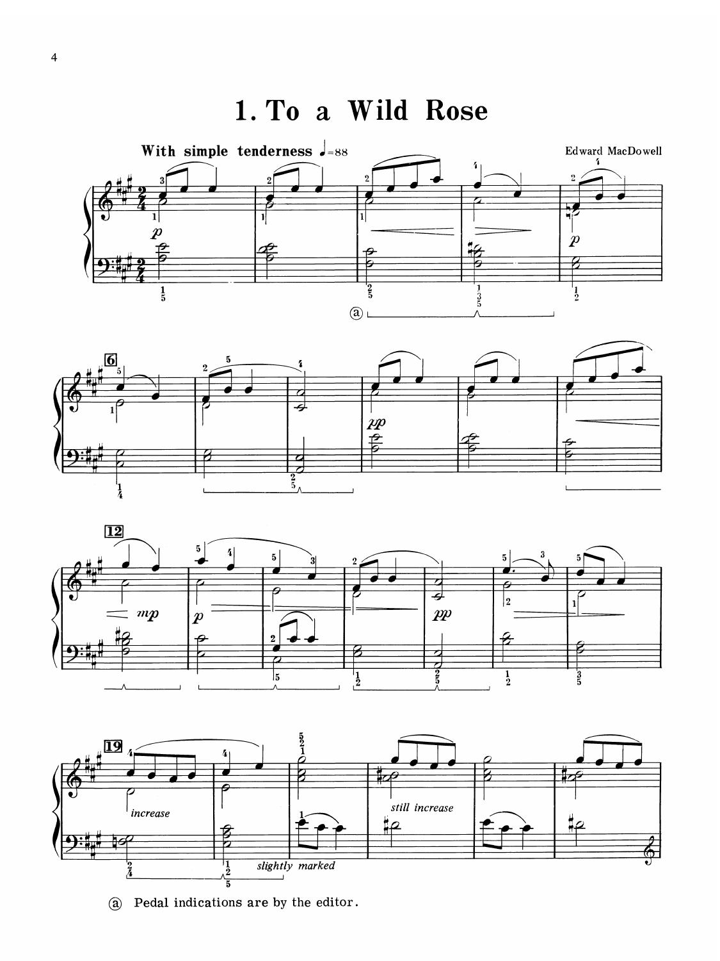1. To a Wild Rose









(a) Pedal indications are by the editor.